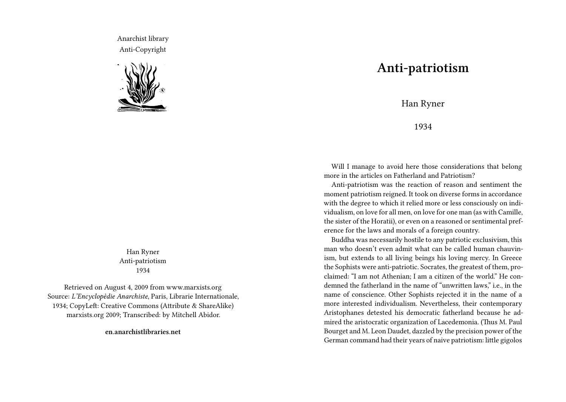Anarchist library Anti-Copyright



Han Ryner Anti-patriotism 1934

Retrieved on August 4, 2009 from www.marxists.org Source: *L'Encyclopèdie Anarchiste*, Paris, Librarie Internationale, 1934; CopyLeft: Creative Commons (Attribute & ShareAlike) marxists.org 2009; Transcribed: by Mitchell Abidor.

**en.anarchistlibraries.net**

## **Anti-patriotism**

Han Ryner

1934

Will I manage to avoid here those considerations that belong more in the articles on Fatherland and Patriotism?

Anti-patriotism was the reaction of reason and sentiment the moment patriotism reigned. It took on diverse forms in accordance with the degree to which it relied more or less consciously on individualism, on love for all men, on love for one man (as with Camille, the sister of the Horatii), or even on a reasoned or sentimental preference for the laws and morals of a foreign country.

Buddha was necessarily hostile to any patriotic exclusivism, this man who doesn't even admit what can be called human chauvinism, but extends to all living beings his loving mercy. In Greece the Sophists were anti-patriotic. Socrates, the greatest of them, proclaimed: "I am not Athenian; I am a citizen of the world." He condemned the fatherland in the name of "unwritten laws," i.e., in the name of conscience. Other Sophists rejected it in the name of a more interested individualism. Nevertheless, their contemporary Aristophanes detested his democratic fatherland because he admired the aristocratic organization of Lacedemonia. (Thus M. Paul Bourget and M. Leon Daudet, dazzled by the precision power of the German command had their years of naive patriotism: little gigolos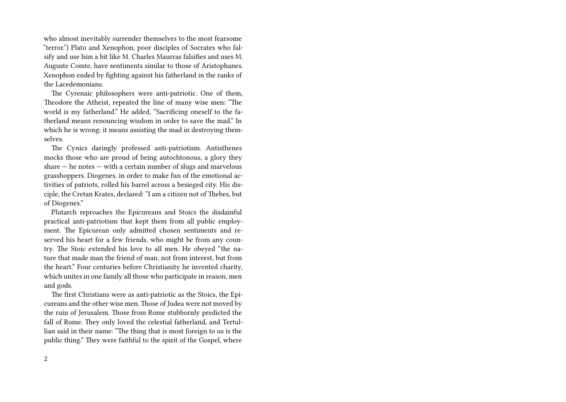who almost inevitably surrender themselves to the most fearsome "terror.") Plato and Xenophon, poor disciples of Socrates who falsify and use him a bit like M. Charles Maurras falsifies and uses M. Auguste Comte, have sentiments similar to those of Aristophanes. Xenophon ended by fighting against his fatherland in the ranks of the Lacedemonians.

The Cyrenaic philosophers were anti-patriotic. One of them, Theodore the Atheist, repeated the line of many wise men: "The world is my fatherland." He added, "Sacrificing oneself to the fatherland means renouncing wisdom in order to save the mad." In which he is wrong: it means assisting the mad in destroying themselves.

The Cynics daringly professed anti-patriotism. Antisthenes mocks those who are proud of being autochtonous, a glory they share  $-$  he notes  $-$  with a certain number of slugs and marvelous grasshoppers. Diogenes, in order to make fun of the emotional activities of patriots, rolled his barrel across a besieged city. His disciple, the Cretan Krates, declared: "I am a citizen not of Thebes, but of Diogenes."

Plutarch reproaches the Epicureans and Stoics the disdainful practical anti-patriotism that kept them from all public employment. The Epicurean only admitted chosen sentiments and reserved his heart for a few friends, who might be from any country. The Stoic extended his love to all men. He obeyed "the nature that made man the friend of man, not from interest, but from the heart." Four centuries before Christianity he invented charity, which unites in one family all those who participate in reason, men and gods.

The first Christians were as anti-patriotic as the Stoics, the Epicureans and the other wise men. Those of Judea were not moved by the ruin of Jerusalem. Those from Rome stubbornly predicted the fall of Rome. They only loved the celestial fatherland, and Tertullian said in their name: "The thing that is most foreign to us is the public thing." They were faithful to the spirit of the Gospel, where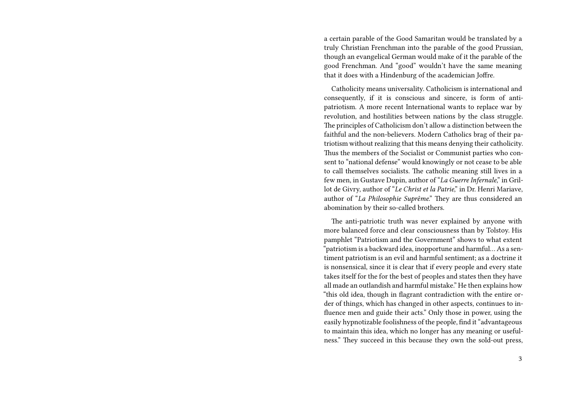a certain parable of the Good Samaritan would be translated by a truly Christian Frenchman into the parable of the good Prussian, though an evangelical German would make of it the parable of the good Frenchman. And "good" wouldn't have the same meaning that it does with a Hindenburg of the academician Joffre.

Catholicity means universality. Catholicism is international and consequently, if it is conscious and sincere, is form of antipatriotism. A more recent International wants to replace war by revolution, and hostilities between nations by the class struggle. The principles of Catholicism don't allow a distinction between the faithful and the non-believers. Modern Catholics brag of their patriotism without realizing that this means denying their catholicity. Thus the members of the Socialist or Communist parties who consent to "national defense" would knowingly or not cease to be able to call themselves socialists. The catholic meaning still lives in a few men, in Gustave Dupin, author of "*La Guerre Infernale*," in Grillot de Givry, author of "*Le Christ et la Patrie*," in Dr. Henri Mariave, author of "*La Philosophie Suprême*." They are thus considered an abomination by their so-called brothers.

The anti-patriotic truth was never explained by anyone with more balanced force and clear consciousness than by Tolstoy. His pamphlet "Patriotism and the Government" shows to what extent "patriotism is a backward idea, inopportune and harmful… As a sentiment patriotism is an evil and harmful sentiment; as a doctrine it is nonsensical, since it is clear that if every people and every state takes itself for the for the best of peoples and states then they have all made an outlandish and harmful mistake." He then explains how "this old idea, though in flagrant contradiction with the entire order of things, which has changed in other aspects, continues to influence men and guide their acts." Only those in power, using the easily hypnotizable foolishness of the people, find it "advantageous to maintain this idea, which no longer has any meaning or usefulness." They succeed in this because they own the sold-out press,